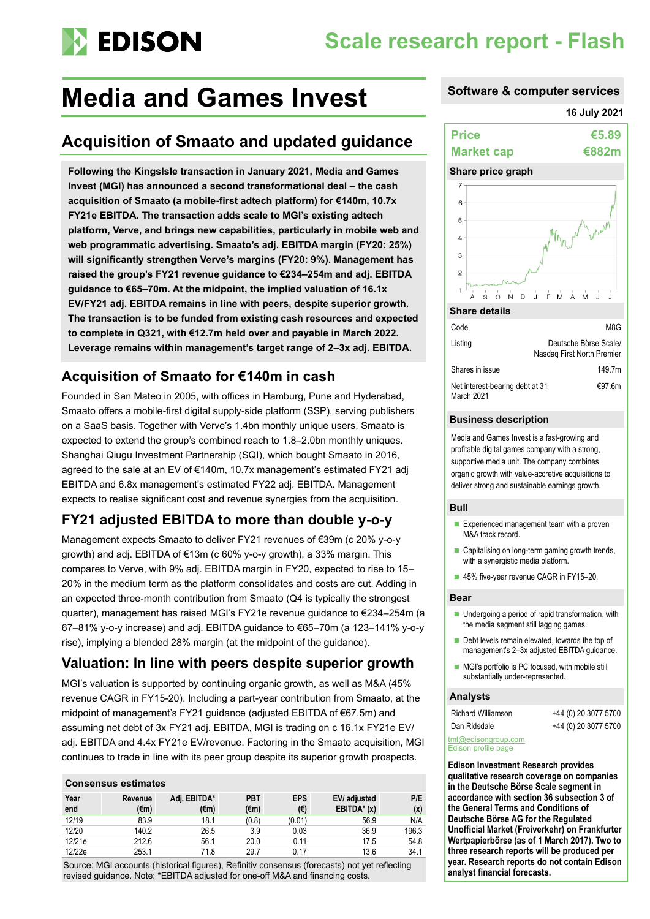# **EDISON**

## **Scale research report - Flash**

## **Media and Games Invest Software & computer services**

## **Acquisition of Smaato and updated guidance**

**Following the KingsIsle transaction in January 2021, Media and Games Invest (MGI) has announced a second transformational deal – the cash acquisition of Smaato (a mobile-first adtech platform) for €140m, 10.7x FY21e EBITDA. The transaction adds scale to MGI's existing adtech platform, Verve, and brings new capabilities, particularly in mobile web and web programmatic advertising. Smaato's adj. EBITDA margin (FY20: 25%) will significantly strengthen Verve's margins (FY20: 9%). Management has raised the group's FY21 revenue guidance to €234–254m and adj. EBITDA guidance to €65–70m. At the midpoint, the implied valuation of 16.1x EV/FY21 adj. EBITDA remains in line with peers, despite superior growth. The transaction is to be funded from existing cash resources and expected to complete in Q321, with €12.7m held over and payable in March 2022. Leverage remains within management's target range of 2–3x adj. EBITDA.**

### **Acquisition of Smaato for €140m in cash**

Founded in San Mateo in 2005, with offices in Hamburg, Pune and Hyderabad, Smaato offers a mobile-first digital supply-side platform (SSP), serving publishers on a SaaS basis. Together with Verve's 1.4bn monthly unique users, Smaato is expected to extend the group's combined reach to 1.8–2.0bn monthly uniques. Shanghai Qiugu Investment Partnership (SQI), which bought Smaato in 2016, agreed to the sale at an EV of €140m, 10.7x management's estimated FY21 adj EBITDA and 6.8x management's estimated FY22 adj. EBITDA. Management expects to realise significant cost and revenue synergies from the acquisition.

## **FY21 adjusted EBITDA to more than double y-o-y**

Management expects Smaato to deliver FY21 revenues of €39m (c 20% y-o-y growth) and adj. EBITDA of €13m (c 60% y-o-y growth), a 33% margin. This compares to Verve, with 9% adj. EBITDA margin in FY20, expected to rise to 15– 20% in the medium term as the platform consolidates and costs are cut. Adding in an expected three-month contribution from Smaato (Q4 is typically the strongest quarter), management has raised MGI's FY21e revenue guidance to €234–254m (a 67–81% y-o-y increase) and adj. EBITDA guidance to €65–70m (a 123–141% y-o-y rise), implying a blended 28% margin (at the midpoint of the guidance).

### **Valuation: In line with peers despite superior growth**

MGI's valuation is supported by continuing organic growth, as well as M&A (45% revenue CAGR in FY15-20). Including a part-year contribution from Smaato, at the midpoint of management's FY21 guidance (adjusted EBITDA of €67.5m) and assuming net debt of 3x FY21 adj. EBITDA, MGI is trading on c 16.1x FY21e EV/ adj. EBITDA and 4.4x FY21e EV/revenue. Factoring in the Smaato acquisition, MGI continues to trade in line with its peer group despite its superior growth prospects.

#### **Consensus estimates**

| Year<br>end | Revenue<br>(€m) | Adi. EBITDA*<br>(€m) | <b>PBT</b><br>$(\epsilon m)$ | <b>EPS</b><br>(€) | EV/ adjusted<br>$EBITDA* (x)$ | P/E<br>(x) |
|-------------|-----------------|----------------------|------------------------------|-------------------|-------------------------------|------------|
| 12/19       | 83.9            | 18.1                 | (0.8)                        | (0.01)            | 56.9                          | N/A        |
| 12/20       | 140.2           | 26.5                 | 3.9                          | 0.03              | 36.9                          | 196.3      |
| 12/21e      | 212.6           | 56.1                 | 20.0                         | 0.11              | 17.5                          | 54.8       |
| 12/22e      | 253.1           | 71.8                 | 29.7                         | 0.17              | 13.6                          | 34.1       |

Source: MGI accounts (historical figures), Refinitiv consensus (forecasts) not yet reflecting revised guidance. Note: \*EBITDA adjusted for one-off M&A and financing costs.

### **16 July 2021**





| Listing                                       | Deutsche Borse Scale<br>Nasdag First North Premier |
|-----------------------------------------------|----------------------------------------------------|
| Shares in issue                               | 149.7m                                             |
| Net interest-bearing debt at 31<br>March 2021 | €97.6m                                             |

#### **Business description**

Media and Games Invest is a fast-growing and profitable digital games company with a strong, supportive media unit. The company combines organic growth with value-accretive acquisitions to deliver strong and sustainable earnings growth.

#### **Bull**

- Experienced management team with a proven M&A track record.
- Capitalising on long-term gaming growth trends, with a synergistic media platform.
- 45% five-year revenue CAGR in FY15-20.

### **Bear**

- Undergoing a period of rapid transformation, with the media segment still lagging games.
- Debt levels remain elevated, towards the top of management's 2–3x adjusted EBITDA guidance.
- MGI's portfolio is PC focused, with mobile still substantially under-represented.

#### **Analysts**

| <b>Richard Williamson</b> | +44 (0) 20 3077 5700 |
|---------------------------|----------------------|
| Dan Ridsdale              | +44 (0) 20 3077 5700 |

[tmt@edisongroup.com](mailto:tmt@edisongroup.com) [Edison profile page](https://www.edisongroup.com/company/media-and-games-invest/2943/)

**Edison Investment Research provides qualitative research coverage on companies in the Deutsche Börse Scale segment in accordance with section 36 subsection 3 of the General Terms and Conditions of Deutsche Börse AG for the Regulated Unofficial Market (Freiverkehr) on Frankfurter Wertpapierbörse (as of 1 March 2017). Two to three research reports will be produced per year. Research reports do not contain Edison analyst financial forecasts.**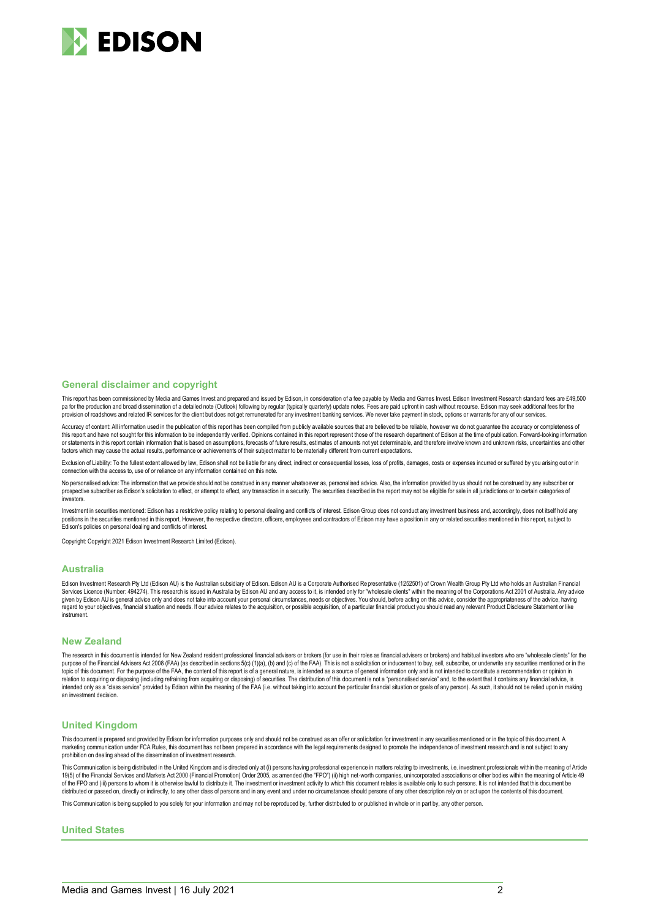

#### **General disclaimer and copyright**

This report has been commissioned by Media and Games Invest and prepared and issued by Edison, in consideration of a fee payable by Media and Games Invest. Edison Investment Research standard fees are £49,500 pa for the production and broad dissemination of a detailed note (Outlook) following by regular (typically quarterly) update notes. Fees are paid upfront in cash without recourse. Edison may seek additional fees for the provision of roadshows and related IR services for the client but does not get remunerated for any investment banking services. We never take payment in stock, options or warrants for any of our services

Accuracy of content: All information used in the publication of this report has been compiled from publicly available sources that are believed to be reliable, however we do not guarantee the accuracy or completeness of this report and have not sought for this information to be independently verified. Opinions contained in this report represent those of the research department of Edison at the time of publication. Forward-looking informat or statements in this report contain information that is based on assumptions, forecasts of future results, estimates of amounts not yet determinable, and therefore involve known and unknown risks, uncertainties and other factors which may cause the actual results, performance or achievements of their subject matter to be materially different from current expectations.

Exclusion of Liability: To the fullest extent allowed by law. Edison shall not be liable for any direct, indirect or consequential losses, loss of profits, damages, costs or expenses incurred or suffered by you arising out connection with the access to, use of or reliance on any information contained on this note

No personalised advice: The information that we provide should not be construed in any manner whatsoever as, personalised advice. Also, the information provided by us should not be construed by any subscriber or prospective subscriber as Edison's solicitation to effect, or attempt to effect, any transaction in a security. The securities described in the report may not be eligible for sale in all jurisdictions or to certain categor investors.

Investment in securities mentioned: Edison has a restrictive policy relating to personal dealing and conflicts of interest. Edison Group does not conduct any investment business and, accordingly, does not itself hold any positions in the securities mentioned in this report. However, the respective directors, officers, employees and contractors of Edison may have a position in any or related securities mentioned in this report, subject to Edison's policies on personal dealing and conflicts of interest.

Copyright: Copyright 2021 Edison Investment Research Limited (Edison).

#### **Australia**

Edison Investment Research Pty Ltd (Edison AU) is the Australian subsidiary of Edison. Edison AU is a Corporate Authorised Representative (1252501) of Crown Wealth Group Pty Ltd who holds an Australian Financial Services Licence (Number: 494274). This research is issued in Australia by Edison AU and any access to it, is intended only for "wholesale clients" within the meaning of the Corporations Act 2001 of Australia. Any advice given by Edison AU is general advice only and does not take into account your personal circumstances, needs or objectives. You should, before acting on this advice, consider the appropriateness of the advice, having regard to your objectives, financial situation and needs. If our advice relates to the acquisition, or possible acquisition, of a particular financial product you should read any relevant Product Disclosure Statement or like instrument.

#### **New Zealand**

The research in this document is intended for New Zealand resident professional financial advisers or brokers (for use in their roles as financial advisers or brokers) and habitual investors who are "wholesale clients" for purpose of the Financial Advisers Act 2008 (FAA) (as described in sections 5(c) (1)(a), (b) and (c) of the FAA). This is not a solicitation or inducement to buy, sell, subscribe, or underwrite any securities mentioned or i topic of this document. For the purpose of the FAA, the content of this report is of a general nature, is intended as a source of general information only and is not intended to constitute a recommendation or opinion in relation to acquiring or disposing (including refraining from acquiring or disposing) of securities. The distribution of this document is not a "personalised service" and, to the extent that it contains any financial advic an investment decision.

#### **United Kingdom**

This document is prepared and provided by Edison for information purposes only and should not be construed as an offer or solicitation for investment in any securities mentioned or in the topic of this document. A<br>marketin prohibition on dealing ahead of the dissemination of investment research.

This Communication is being distributed in the United Kingdom and is directed only at (i) persons having professional experience in matters relating to investments, i.e. investment professionals within the meaning of Artic of the FPO and (iii) persons to whom it is otherwise lawful to distribute it. The investment or investment activity to which this document relates is available only to such persons. It is not intended that this document be distributed or passed on, directly or indirectly, to any other class of persons and in any event and under no circumstances should persons of any other description rely on or act upon the contents of this document.

This Communication is being supplied to you solely for your information and may not be reproduced by, further distributed to or published in whole or in part by, any other person.

#### **United States**